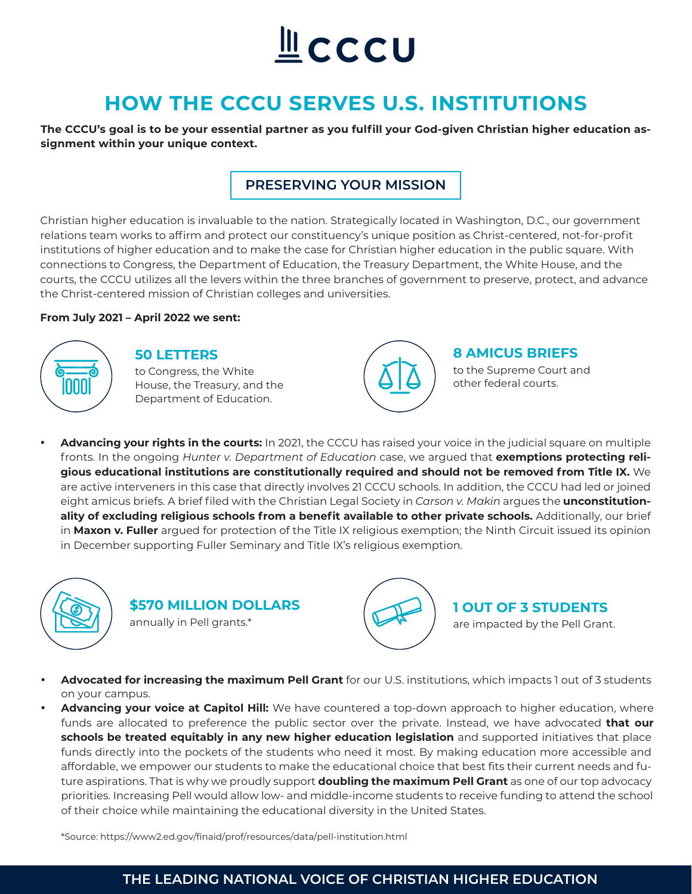# **L**CCCU

# **HOW THE CCCU SERVES U.S. INSTITUTIONS**

**The CCCU's goal is to be your essential partner as you fulfill your God-given Christian higher education assignment within your unique context.**

# **PRESERVING YOUR MISSION**

Christian higher education is invaluable to the nation. Strategically located in Washington, D.C., our government relations team works to affirm and protect our constituency's unique position as Christ-centered, not-for-profit institutions of higher education and to make the case for Christian higher education in the public square. With connections to Congress, the Department of Education, the Treasury Department, the White House, and the courts, the CCCU utilizes all the levers within the three branches of government to preserve, protect, and advance the Christ-centered mission of Christian colleges and universities.

#### **From July 2021 – April 2022 we sent:**



### **50 LETTERS**

to Congress, the White House, the Treasury, and the Department of Education.



#### **8 AMICUS BRIEFS**

to the Supreme Court and other federal courts.

• **Advancing your rights in the courts:** In 2021, the CCCU has raised your voice in the judicial square on multiple fronts. In the ongoing *Hunter v. Department of Education* case, we argued that **exemptions protecting religious educational institutions are constitutionally required and should not be removed from Title IX.** We are active interveners in this case that directly involves 21 CCCU schools. In addition, the CCCU had led or joined eight amicus briefs. A brief filed with the Christian Legal Society in *Carson v. Makin* argues the **unconstitution**ality of excluding religious schools from a benefit available to other private schools. Additionally, our brief in **Maxon v. Fuller** argued for protection of the Title IX religious exemption; the Ninth Circuit issued its opinion in December supporting Fuller Seminary and Title IX's religious exemption.



# **\$570 MILLION DOLLARS** annually in Pell grants.\*



# **1 OUT OF 3 STUDENTS**

are impacted by the Pell Grant.

- **Advocated for increasing the maximum Pell Grant** for our U.S. institutions, which impacts 1 out of 3 students on your campus.
- **Advancing your voice at Capitol Hill:** We have countered a top-down approach to higher education, where funds are allocated to preference the public sector over the private. Instead, we have advocated **that our schools be treated equitably in any new higher education legislation** and supported initiatives that place funds directly into the pockets of the students who need it most. By making education more accessible and affordable, we empower our students to make the educational choice that best fits their current needs and future aspirations. That is why we proudly support **doubling the maximum Pell Grant** as one of our top advocacy priorities. Increasing Pell would allow low- and middle-income students to receive funding to attend the school of their choice while maintaining the educational diversity in the United States.

\*Source: https://www2.ed.gov/finaid/prof/resources/data/pell-institution.html

# **THE LEADING NATIONAL VOICE OF CHRISTIAN HIGHER EDUCATION**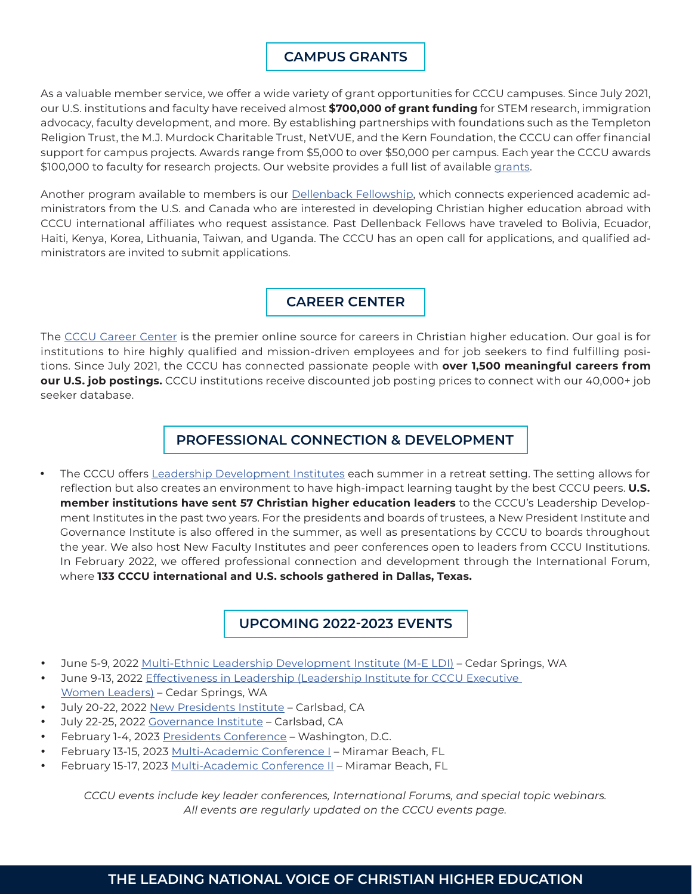# **CAMPUS GRANTS**

As a valuable member service, we offer a wide variety of grant opportunities for CCCU campuses. Since July 2021, our U.S. institutions and faculty have received almost **\$700,000 of grant funding** for STEM research, immigration advocacy, faculty development, and more. By establishing partnerships with foundations such as the Templeton Religion Trust, the M.J. Murdock Charitable Trust, NetVUE, and the Kern Foundation, the CCCU can offer financial support for campus projects. Awards range from \$5,000 to over \$50,000 per campus. Each year the CCCU awards \$100,000 to faculty for research projects. Our website provides a full list of available [grants.](https://www.cccu.org/campus-grants/#heading-stem-research--7)

Another program available to members is our [Dellenback Fellowship,](https://www.cccu.org/campus-grants/#heading-stem-research--7) which connects experienced academic administrators from the U.S. and Canada who are interested in developing Christian higher education abroad with CCCU international affiliates who request assistance. Past Dellenback Fellows have traveled to Bolivia, Ecuador, Haiti, Kenya, Korea, Lithuania, Taiwan, and Uganda. The CCCU has an open call for applications, and qualified administrators are invited to submit applications.

# **CAREER CENTER**

The [CCCU Career Center](https://www.cccu.org/career-center/) is the premier online source for careers in Christian higher education. Our goal is for institutions to hire highly qualified and mission-driven employees and for job seekers to find fulfilling positions. Since July 2021, the CCCU has connected passionate people with **over 1,500 meaningful careers from our U.S. job postings.** CCCU institutions receive discounted job posting prices to connect with our 40,000+ job seeker database.

# **PROFESSIONAL CONNECTION & DEVELOPMENT**

• The CCCU offers [Leadership Development Institutes](https://www.cccu.org/programs-services/institutes/) each summer in a retreat setting. The setting allows for reflection but also creates an environment to have high-impact learning taught by the best CCCU peers. **U.S. member institutions have sent 57 Christian higher education leaders** to the CCCU's Leadership Development Institutes in the past two years. For the presidents and boards of trustees, a New President Institute and Governance Institute is also offered in the summer, as well as presentations by CCCU to boards throughout the year. We also host New Faculty Institutes and peer conferences open to leaders from CCCU Institutions. In February 2022, we offered professional connection and development through the International Forum, where **133 CCCU international and U.S. schools gathered in Dallas, Texas.**

# **UPCOMING [2022-2023 EVENTS](https://www.cccu.org/events/)**

- June 5-9, 2022 [Multi-Ethnic Leadership Development Institute \(M-E LDI\)](https://www.cccu.org/programs-services/institutes/multi-ethnic-leadership-development-institute/)  Cedar Springs, WA
- June 9-13, 2022 [Effectiveness in Leadership \(Leadership Institute for CCCU Executive](https://www.cccu.org/programs-services/institutes/executive-women-leaders-ldi/) [Women Leaders\)](https://www.cccu.org/programs-services/institutes/executive-women-leaders-ldi/) – Cedar Springs, WA
- July 20-22, 2022 [New Presidents Institute](https://www.cccu.org/cccu_event/new-presidents-institute-2022/)  Carlsbad, CA
- July 22-25, 2022 [Governance Institute](https://www.cccu.org/cccu_event/governance-institute/)  Carlsbad, CA
- February 1-4, 2023 [Presidents Conference](https://www.cccu.org/cccu_event/2023-presidents-conference-3/)  Washington, D.C.
- February 13-15, 2023 [Multi-Academic Conference I](https://www.cccu.org/cccu_event/2023-multi-academic-conference-2/)  Miramar Beach, FL
- February 15-17, 2023 [Multi-Academic Conference II](https://www.cccu.org/cccu_event/2023-multi-academic-conference-ii-2/)  Miramar Beach, FL

*CCCU events include key leader conferences, International Forums, and special topic webinars. All events are regularly updated on the CCCU events page.*

# **THE LEADING NATIONAL VOICE OF CHRISTIAN HIGHER EDUCATION**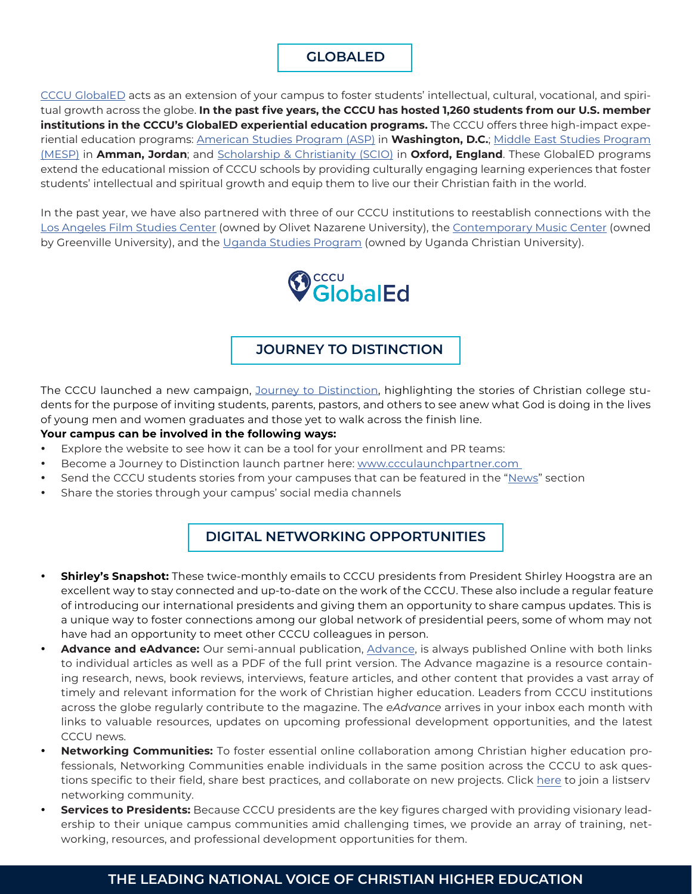# **GLOBALED**

[CCCU GlobalED](https://www.cccuglobaled.org/) acts as an extension of your campus to foster students' intellectual, cultural, vocational, and spiritual growth across the globe. **In the past five years, the CCCU has hosted 1,260 students from our U.S. member institutions in the CCCU's GlobalED experiential education programs.** The CCCU offers three high-impact experiential education programs: [American Studies Program \(ASP\)](https://www.cccuglobaled.org/asp/) in **Washington, D.C.**; [Middle East Studies Program](https://www.cccuglobaled.org/mesp/)  [\(MESP\)](https://www.cccuglobaled.org/mesp/) in **Amman, Jordan**; and [Scholarship & Christianity \(SCIO\)](https://www.cccuglobaled.org/scio/) in **Oxford, England**. These GlobalED programs extend the educational mission of CCCU schools by providing culturally engaging learning experiences that foster students' intellectual and spiritual growth and equip them to live our their Christian faith in the world.

In the past year, we have also partnered with three of our CCCU institutions to reestablish connections with the [Los Angeles Film Studies Center](https://www.olivet.edu/lafsc) (owned by Olivet Nazarene University), the [Contemporary Music Center](https://www.cmcnashville.com/) (owned by Greenville University), and the [Uganda Studies Program](https://www.ugandastudiesprogram.org/) (owned by Uganda Christian University).



### **JOURNEY TO DISTINCTION**

The CCCU launched a new campaign, [Journey to Distinction,](http://www.journeytodistinction.com
) highlighting the stories of Christian college students for the purpose of inviting students, parents, pastors, and others to see anew what God is doing in the lives of young men and women graduates and those yet to walk across the finish line.

#### **Your campus can be involved in the following ways:**

- Explore the website to see how it can be a tool for your enrollment and PR teams:
- Become a Journey to Distinction launch partner here: [www.ccculaunchpartner.com](http://www.ccculaunchpartner.com )
- Send the CCCU students stories from your campuses that can be featured in the "[News](https://www.journeytodistinction.com/news-press)" section
- Share the stories through your campus' social media channels

# **DIGITAL NETWORKING OPPORTUNITIES**

- **Shirley's Snapshot:** These twice-monthly emails to CCCU presidents from President Shirley Hoogstra are an excellent way to stay connected and up-to-date on the work of the CCCU. These also include a regular feature of introducing our international presidents and giving them an opportunity to share campus updates. This is a unique way to foster connections among our global network of presidential peers, some of whom may not have had an opportunity to meet other CCCU colleagues in person.
- **Advance and eAdvance:** Our semi-annual publication, [Advance](https://www.cccu.org/magazine/), is always published Online with both links to individual articles as well as a PDF of the full print version. The Advance magazine is a resource containing research, news, book reviews, interviews, feature articles, and other content that provides a vast array of timely and relevant information for the work of Christian higher education. Leaders from CCCU institutions across the globe regularly contribute to the magazine. The *eAdvance* arrives in your inbox each month with links to valuable resources, updates on upcoming professional development opportunities, and the latest CCCU news.
- **Networking Communities:** To foster essential online collaboration among Christian higher education professionals, Networking Communities enable individuals in the same position across the CCCU to ask questions specific to their field, share best practices, and collaborate on new projects. Click [here](https://secure.cccu.org/Membr/Membr/Create_Account_no_Sign_In.aspx?returnprev=t&returnurl=%2fMembr%2fMembr%2fAccountPage.aspx) to join a listserv networking community.
- **Services to Presidents:** Because CCCU presidents are the key figures charged with providing visionary leadership to their unique campus communities amid challenging times, we provide an array of training, networking, resources, and professional development opportunities for them.

# **THE LEADING NATIONAL VOICE OF CHRISTIAN HIGHER EDUCATION**